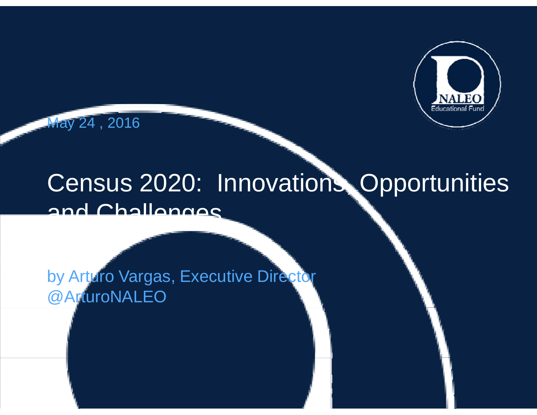

May 24 , 2016

## Census 2020: Innovations, Opportunities and Challanges

by Arturo Vargas, Executive Director @ArturoNALEO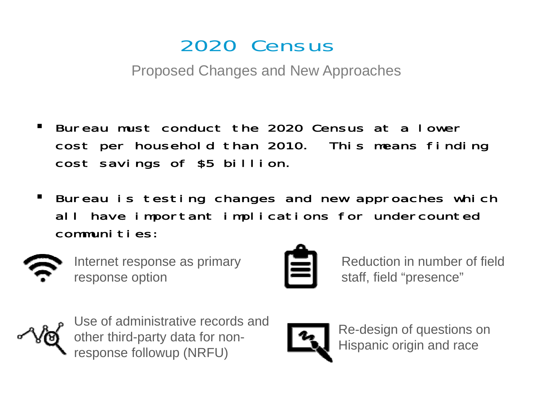## 2020 Census

Proposed Changes and New Approaches

- Bureau must conduct the 2020 Census at a lower cost per household than 2010. This means finding cost savings of \$5 billion.
- $\blacksquare$  . Bureau is testing changes and new approaches which all have important implications for undercounted communities:



response option



Internet response as primary  $\quad \blacksquare \blacksquare$  Reduction in number of field Reduction in number ofstaff, field "presence"



Use of administrative records and other third-party data for nonobserve and minimizative reserve and and party data for non-<br>response followup (NRFU) laterally dispanic origin and race proponse followup (NRFU)

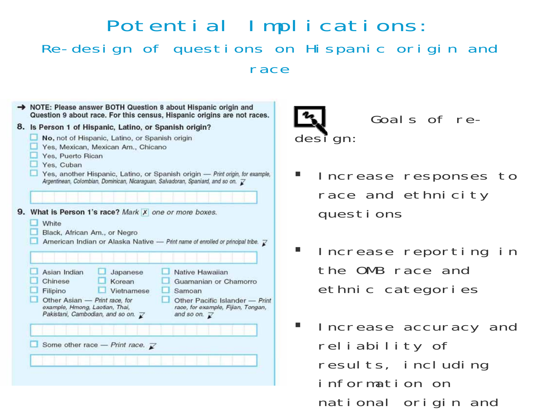### Potential Implications: Re-design of questions on Hispanic origin and race

| 8. Is Person 1 of Hispanic, Latino, or Spanish origin?<br>No, not of Hispanic, Latino, or Spanish origin<br>Yes, Mexican, Mexican Am., Chicano<br>Yes, Puerto Rican<br>Yes, Cuban<br>Yes, another Hispanic, Latino, or Spanish origin - Print origin, for example,<br>Argentinean, Colombian, Dominican, Nicaraguan, Salvadoran, Spaniard, and so on. Z                         |
|---------------------------------------------------------------------------------------------------------------------------------------------------------------------------------------------------------------------------------------------------------------------------------------------------------------------------------------------------------------------------------|
| 9. What is Person 1's race? Mark X one or more boxes.<br>White<br>Black, African Am., or Negro<br>American Indian or Alaska Native - Print name of enrolled or principal tribe. $\bar{\chi}$                                                                                                                                                                                    |
| Asian Indian<br>Native Hawaiian<br>Japanese<br>Chinese<br><b>Korean</b><br>Guamanian or Chamorro<br>Filipino<br>Vietnamese<br>Samoan<br>Other Asian - Print race, for<br>Other Pacific Islander - Print<br>example, Hmong, Laotian, Thai,<br>race, for example, Fijian, Tongan,<br>Pakistani, Cambodian, and so on. $\overrightarrow{K}$<br>and so on. $\overline{\mathcal{K}}$ |
|                                                                                                                                                                                                                                                                                                                                                                                 |



Goals of re-

- $\mathbb{R}^n$  Increase responses to race and ethnicity questions
- Increase reporting in the OMB race and ethnic categories
- $\blacksquare$  . Increase accuracy and reliability of results, including information on national origin and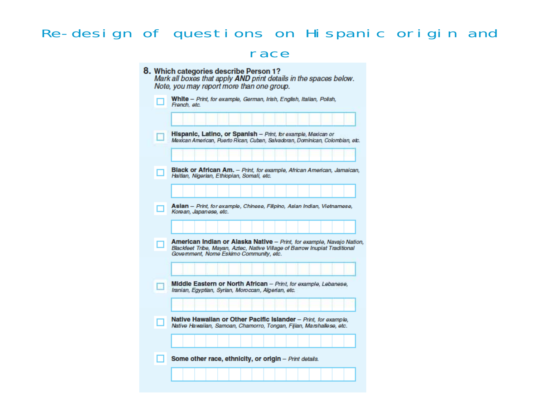#### Re-design of questions on Hispanic origin and race

|   | Note, you may report more than one group.                                                                                                                                                       |
|---|-------------------------------------------------------------------------------------------------------------------------------------------------------------------------------------------------|
|   | White - Print, for example, German, Irish, English, Italian, Polish,<br>French, etc.                                                                                                            |
|   |                                                                                                                                                                                                 |
|   | Hispanic, Latino, or Spanish - Print, for example, Mexican or<br>Mexican American, Puerto Rican, Cuban, Salvadoran, Dominican, Colombian, etc.                                                  |
|   |                                                                                                                                                                                                 |
|   | Black or African Am. - Print, for example, African American, Jamaican,<br>Haitian, Nigerian, Ethiopian, Somali, etc.                                                                            |
|   |                                                                                                                                                                                                 |
|   | Asian - Print, for example, Chinese, Filipino, Asian Indian, Vietnamese,<br>Korean, Japanese, etc.                                                                                              |
|   |                                                                                                                                                                                                 |
|   |                                                                                                                                                                                                 |
| п | American Indian or Alaska Native - Print, for example, Navajo Nation,<br>Blackfeet Tribe, Mayan, Aztec, Native Village of Barrow Inupiat Traditional<br>Government, Nome Eskimo Community, etc. |
|   |                                                                                                                                                                                                 |
|   | Middle Eastern or North African - Print, for example, Lebanese,<br>Iranian, Egyptian, Syrian, Moroccan, Algerian, etc.                                                                          |
|   |                                                                                                                                                                                                 |
|   | Native Hawaiian or Other Pacific Islander - Print, for example,<br>Native Hawaiian, Samoan, Chamorro, Tongan, Fijian, Marshallese, etc.                                                         |
|   |                                                                                                                                                                                                 |
|   | Some other race, ethnicity, or origin - Print details.                                                                                                                                          |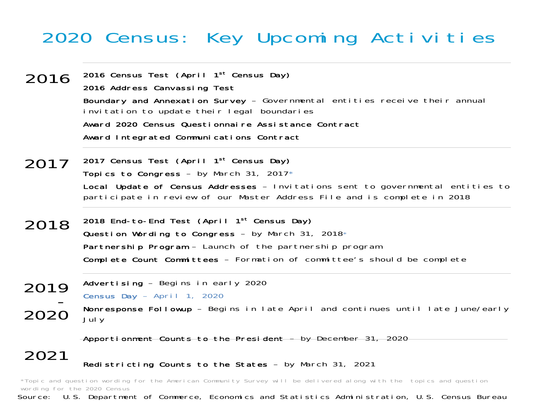## 2020 Census: Key Upcoming Activities

- 2016 Census Test (April 1st Census Day) 2016 Address Canvassing Test Boundary and Annexation Survey - Governmental entities receive their annual 2016invitation to update their legal boundaries Award 2020 Census Questionnaire Assistance ContractAward Integrated Communications Contract
- $2017\;$  2017 Census Test (April 1<sup>st</sup> Census Day) Topics to Congress – by March 31, 2017\* Local Update of Census Addresses – Invitations sent to governmental entities to participate in review of our Master Address File and is complete in 2018
- 2018 End-to-End Test (April 1<sup>st</sup> Census Day) Question Wording to Congress  $-$  by March 31, 2018 $*$ Partnership Program – Launch of the partnership program **Complete Count Committees** — Formation of committee's should be complete 2018
- Advertising Begins in early 2020 Census Day – April 1, 2020  $\mathbf 0$  Nonresponse Followup - Begins in late April and continues until late June/early<br>U July 2019-2020

Apportionment Counts to the President – by December 31, 2020

2021Redistricting Counts to the States – by March 31, 2021

Source: U.S. Department of Commerce, Economics and Statistics Administration, U.S. Census Bureau \*Topic and question wording for the American Community Survey will be delivered along with the topics and question wording for the 2020 Census